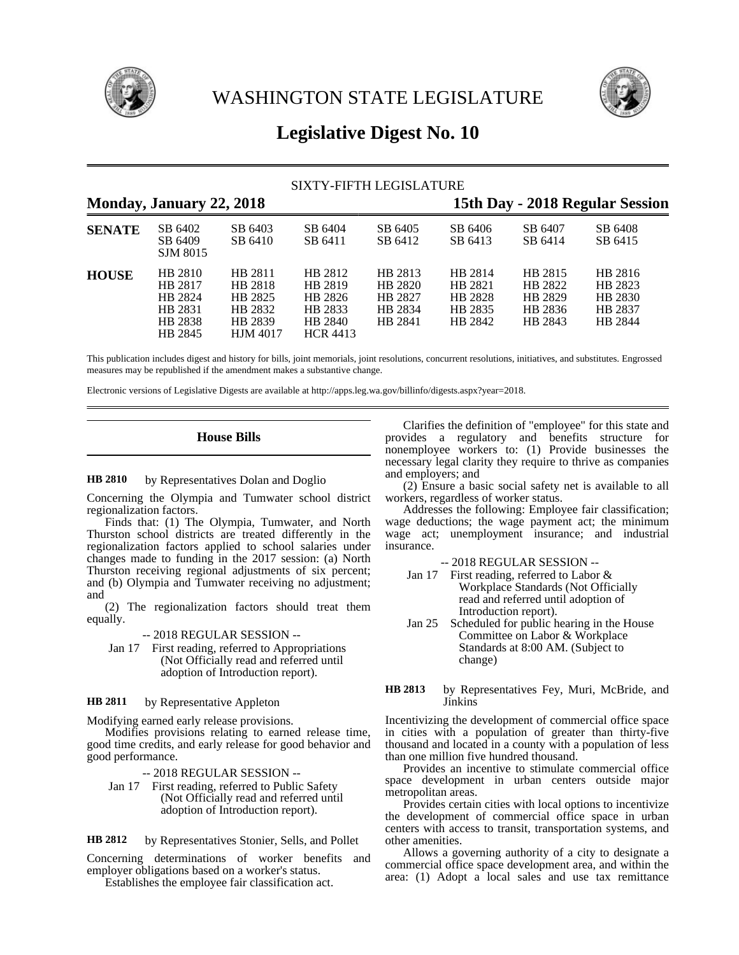

WASHINGTON STATE LEGISLATURE



# **Legislative Digest No. 10**

|               | <b>SIXTY-FIFTH LEGISLATURE</b>                                 |                                                                        |                                                                        |                                                     |                                                     |                                                     |                                                     |  |  |
|---------------|----------------------------------------------------------------|------------------------------------------------------------------------|------------------------------------------------------------------------|-----------------------------------------------------|-----------------------------------------------------|-----------------------------------------------------|-----------------------------------------------------|--|--|
|               | Monday, January 22, 2018                                       |                                                                        |                                                                        |                                                     |                                                     |                                                     | 15th Day - 2018 Regular Session                     |  |  |
| <b>SENATE</b> | SB 6402<br>SB 6409<br>SJM 8015                                 | SB 6403<br>SB 6410                                                     | SB 6404<br>SB 6411                                                     | SB 6405<br>SB 6412                                  | SB 6406<br>SB 6413                                  | SB 6407<br>SB 6414                                  | SB 6408<br>SB 6415                                  |  |  |
| <b>HOUSE</b>  | HB 2810<br>HB 2817<br>HB 2824<br>HB 2831<br>HB 2838<br>HB 2845 | HB 2811<br>HB 2818<br>HB 2825<br>HB 2832<br>HB 2839<br><b>HJM</b> 4017 | HB 2812<br>HB 2819<br>HB 2826<br>HB 2833<br>HB 2840<br><b>HCR 4413</b> | HB 2813<br>HB 2820<br>HB 2827<br>HB 2834<br>HB 2841 | HB 2814<br>HB 2821<br>HB 2828<br>HB 2835<br>HB 2842 | HB 2815<br>HB 2822<br>HB 2829<br>HB 2836<br>HB 2843 | HB 2816<br>HB 2823<br>HB 2830<br>HB 2837<br>HB 2844 |  |  |

This publication includes digest and history for bills, joint memorials, joint resolutions, concurrent resolutions, initiatives, and substitutes. Engrossed measures may be republished if the amendment makes a substantive change.

Electronic versions of Legislative Digests are available at http://apps.leg.wa.gov/billinfo/digests.aspx?year=2018.

# **House Bills**

#### by Representatives Dolan and Doglio **HB 2810**

Concerning the Olympia and Tumwater school district regionalization factors.

Finds that: (1) The Olympia, Tumwater, and North Thurston school districts are treated differently in the regionalization factors applied to school salaries under changes made to funding in the 2017 session: (a) North Thurston receiving regional adjustments of six percent; and (b) Olympia and Tumwater receiving no adjustment; and

(2) The regionalization factors should treat them equally.

-- 2018 REGULAR SESSION --

Jan 17 First reading, referred to Appropriations (Not Officially read and referred until adoption of Introduction report).

#### by Representative Appleton **HB 2811**

Modifying earned early release provisions.

Modifies provisions relating to earned release time, good time credits, and early release for good behavior and good performance.

-- 2018 REGULAR SESSION --

- Jan 17 First reading, referred to Public Safety (Not Officially read and referred until adoption of Introduction report).
- by Representatives Stonier, Sells, and Pollet **HB 2812**

Concerning determinations of worker benefits and employer obligations based on a worker's status.

Establishes the employee fair classification act.

Clarifies the definition of "employee" for this state and provides a regulatory and benefits structure for nonemployee workers to: (1) Provide businesses the necessary legal clarity they require to thrive as companies and employers; and

(2) Ensure a basic social safety net is available to all workers, regardless of worker status.

Addresses the following: Employee fair classification; wage deductions; the wage payment act; the minimum wage act; unemployment insurance; and industrial insurance.

-- 2018 REGULAR SESSION --

- Jan 17 First reading, referred to Labor & Workplace Standards (Not Officially read and referred until adoption of Introduction report).
- Jan 25 Scheduled for public hearing in the House Committee on Labor & Workplace Standards at 8:00 AM. (Subject to change)

### by Representatives Fey, Muri, McBride, and Jinkins **HB 2813**

Incentivizing the development of commercial office space in cities with a population of greater than thirty-five thousand and located in a county with a population of less than one million five hundred thousand.

Provides an incentive to stimulate commercial office space development in urban centers outside major metropolitan areas.

Provides certain cities with local options to incentivize the development of commercial office space in urban centers with access to transit, transportation systems, and other amenities.

Allows a governing authority of a city to designate a commercial office space development area, and within the area: (1) Adopt a local sales and use tax remittance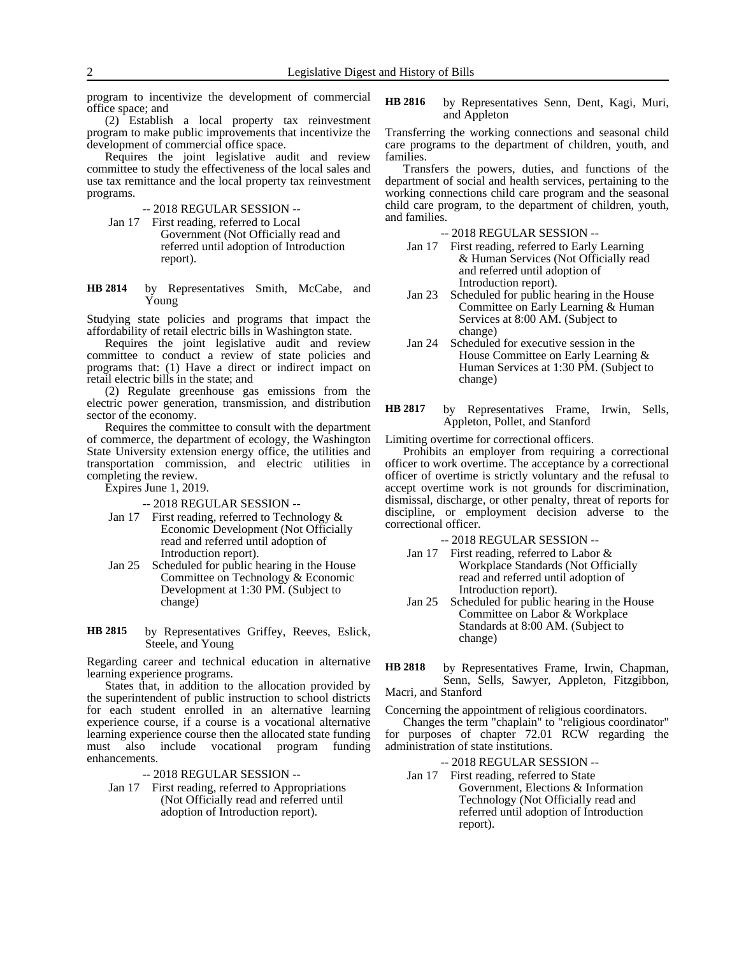program to incentivize the development of commercial office space; and

(2) Establish a local property tax reinvestment program to make public improvements that incentivize the development of commercial office space.

Requires the joint legislative audit and review committee to study the effectiveness of the local sales and use tax remittance and the local property tax reinvestment programs.

- -- 2018 REGULAR SESSION --
- Jan 17 First reading, referred to Local Government (Not Officially read and referred until adoption of Introduction report).

by Representatives Smith, McCabe, and Young **HB 2814**

Studying state policies and programs that impact the affordability of retail electric bills in Washington state.

Requires the joint legislative audit and review committee to conduct a review of state policies and programs that: (1) Have a direct or indirect impact on retail electric bills in the state; and

(2) Regulate greenhouse gas emissions from the electric power generation, transmission, and distribution sector of the economy.

Requires the committee to consult with the department of commerce, the department of ecology, the Washington State University extension energy office, the utilities and transportation commission, and electric utilities in completing the review.

Expires June 1, 2019.

-- 2018 REGULAR SESSION --

- Jan 17 First reading, referred to Technology & Economic Development (Not Officially read and referred until adoption of Introduction report).
- Jan 25 Scheduled for public hearing in the House Committee on Technology & Economic Development at 1:30 PM. (Subject to change)
- by Representatives Griffey, Reeves, Eslick, Steele, and Young **HB 2815**

Regarding career and technical education in alternative learning experience programs.

States that, in addition to the allocation provided by the superintendent of public instruction to school districts for each student enrolled in an alternative learning experience course, if a course is a vocational alternative learning experience course then the allocated state funding must also include vocational program funding enhancements.

-- 2018 REGULAR SESSION --

Jan 17 First reading, referred to Appropriations (Not Officially read and referred until adoption of Introduction report).

by Representatives Senn, Dent, Kagi, Muri, and Appleton **HB 2816**

Transferring the working connections and seasonal child care programs to the department of children, youth, and families.

Transfers the powers, duties, and functions of the department of social and health services, pertaining to the working connections child care program and the seasonal child care program, to the department of children, youth, and families.

-- 2018 REGULAR SESSION --

- Jan 17 First reading, referred to Early Learning & Human Services (Not Officially read and referred until adoption of Introduction report).
- Jan 23 Scheduled for public hearing in the House Committee on Early Learning & Human Services at 8:00 AM. (Subject to change)
- Jan 24 Scheduled for executive session in the House Committee on Early Learning & Human Services at 1:30 PM. (Subject to change)
- by Representatives Frame, Irwin, Sells, Appleton, Pollet, and Stanford **HB 2817**

Limiting overtime for correctional officers.

Prohibits an employer from requiring a correctional officer to work overtime. The acceptance by a correctional officer of overtime is strictly voluntary and the refusal to accept overtime work is not grounds for discrimination, dismissal, discharge, or other penalty, threat of reports for discipline, or employment decision adverse to the correctional officer.

-- 2018 REGULAR SESSION --

- Jan 17 First reading, referred to Labor & Workplace Standards (Not Officially read and referred until adoption of Introduction report).
- Jan 25 Scheduled for public hearing in the House Committee on Labor & Workplace Standards at 8:00 AM. (Subject to change)

by Representatives Frame, Irwin, Chapman, Senn, Sells, Sawyer, Appleton, Fitzgibbon, Macri, and Stanford **HB 2818**

Concerning the appointment of religious coordinators.

Changes the term "chaplain" to "religious coordinator" for purposes of chapter 72.01 RCW regarding the administration of state institutions.

-- 2018 REGULAR SESSION --

Jan 17 First reading, referred to State Government, Elections & Information Technology (Not Officially read and referred until adoption of Introduction report).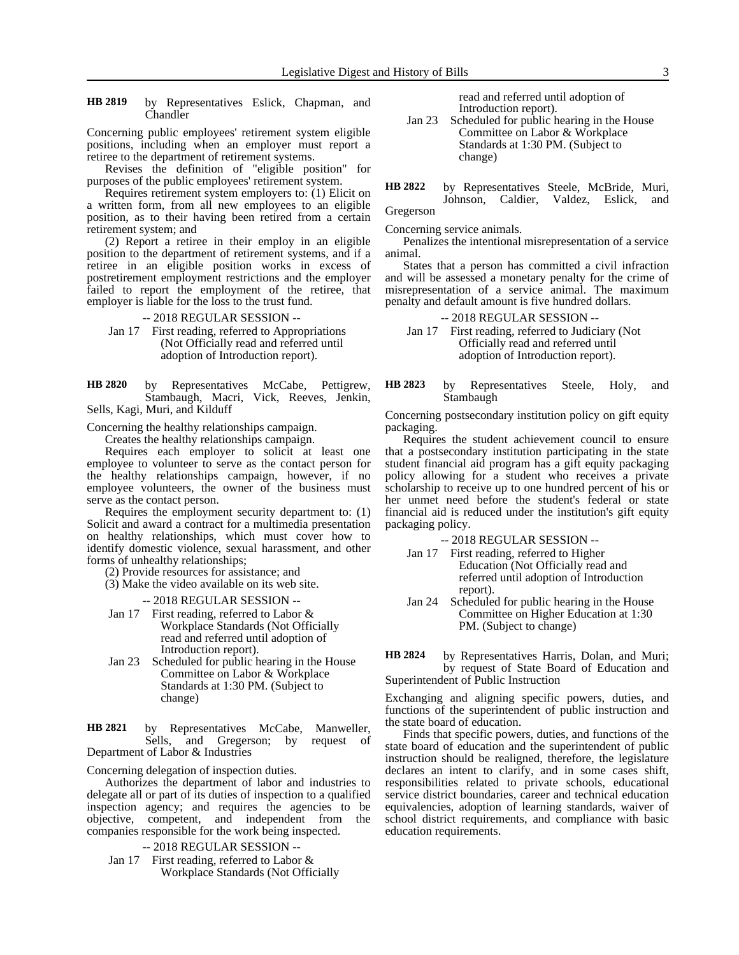by Representatives Eslick, Chapman, and Chandler **HB 2819**

Concerning public employees' retirement system eligible positions, including when an employer must report a retiree to the department of retirement systems.

Revises the definition of "eligible position" for purposes of the public employees' retirement system.

Requires retirement system employers to: (1) Elicit on a written form, from all new employees to an eligible position, as to their having been retired from a certain retirement system; and

(2) Report a retiree in their employ in an eligible position to the department of retirement systems, and if a retiree in an eligible position works in excess of postretirement employment restrictions and the employer failed to report the employment of the retiree, that employer is liable for the loss to the trust fund.

-- 2018 REGULAR SESSION --

Jan 17 First reading, referred to Appropriations (Not Officially read and referred until adoption of Introduction report).

by Representatives McCabe, Pettigrew, Stambaugh, Macri, Vick, Reeves, Jenkin, Sells, Kagi, Muri, and Kilduff **HB 2820**

Concerning the healthy relationships campaign.

Creates the healthy relationships campaign.

Requires each employer to solicit at least one employee to volunteer to serve as the contact person for the healthy relationships campaign, however, if no employee volunteers, the owner of the business must serve as the contact person.

Requires the employment security department to: (1) Solicit and award a contract for a multimedia presentation on healthy relationships, which must cover how to identify domestic violence, sexual harassment, and other forms of unhealthy relationships;

(2) Provide resources for assistance; and

(3) Make the video available on its web site.

-- 2018 REGULAR SESSION --

- Jan 17 First reading, referred to Labor & Workplace Standards (Not Officially read and referred until adoption of Introduction report).
- Jan 23 Scheduled for public hearing in the House Committee on Labor & Workplace Standards at 1:30 PM. (Subject to change)

by Representatives McCabe, Manweller, Sells, and Gregerson; by request of Department of Labor & Industries **HB 2821**

Concerning delegation of inspection duties.

Authorizes the department of labor and industries to delegate all or part of its duties of inspection to a qualified inspection agency; and requires the agencies to be objective, competent, and independent from the companies responsible for the work being inspected.

-- 2018 REGULAR SESSION --

Jan 17 First reading, referred to Labor & Workplace Standards (Not Officially read and referred until adoption of Introduction report).

Jan 23 Scheduled for public hearing in the House Committee on Labor & Workplace Standards at 1:30 PM. (Subject to change)

by Representatives Steele, McBride, Muri, Johnson, Caldier, Valdez, Eslick, and **HB 2822**

Gregerson

Concerning service animals.

Penalizes the intentional misrepresentation of a service animal.

States that a person has committed a civil infraction and will be assessed a monetary penalty for the crime of misrepresentation of a service animal. The maximum penalty and default amount is five hundred dollars.

-- 2018 REGULAR SESSION --

- Jan 17 First reading, referred to Judiciary (Not Officially read and referred until adoption of Introduction report).
- by Representatives Steele, Holy, and Stambaugh **HB 2823**

Concerning postsecondary institution policy on gift equity packaging.

Requires the student achievement council to ensure that a postsecondary institution participating in the state student financial aid program has a gift equity packaging policy allowing for a student who receives a private scholarship to receive up to one hundred percent of his or her unmet need before the student's federal or state financial aid is reduced under the institution's gift equity packaging policy.

-- 2018 REGULAR SESSION --

- Jan 17 First reading, referred to Higher Education (Not Officially read and referred until adoption of Introduction report).
- Jan 24 Scheduled for public hearing in the House Committee on Higher Education at 1:30 PM. (Subject to change)
- by Representatives Harris, Dolan, and Muri; by request of State Board of Education and Superintendent of Public Instruction **HB 2824**

Exchanging and aligning specific powers, duties, and functions of the superintendent of public instruction and the state board of education.

Finds that specific powers, duties, and functions of the state board of education and the superintendent of public instruction should be realigned, therefore, the legislature declares an intent to clarify, and in some cases shift, responsibilities related to private schools, educational service district boundaries, career and technical education equivalencies, adoption of learning standards, waiver of school district requirements, and compliance with basic education requirements.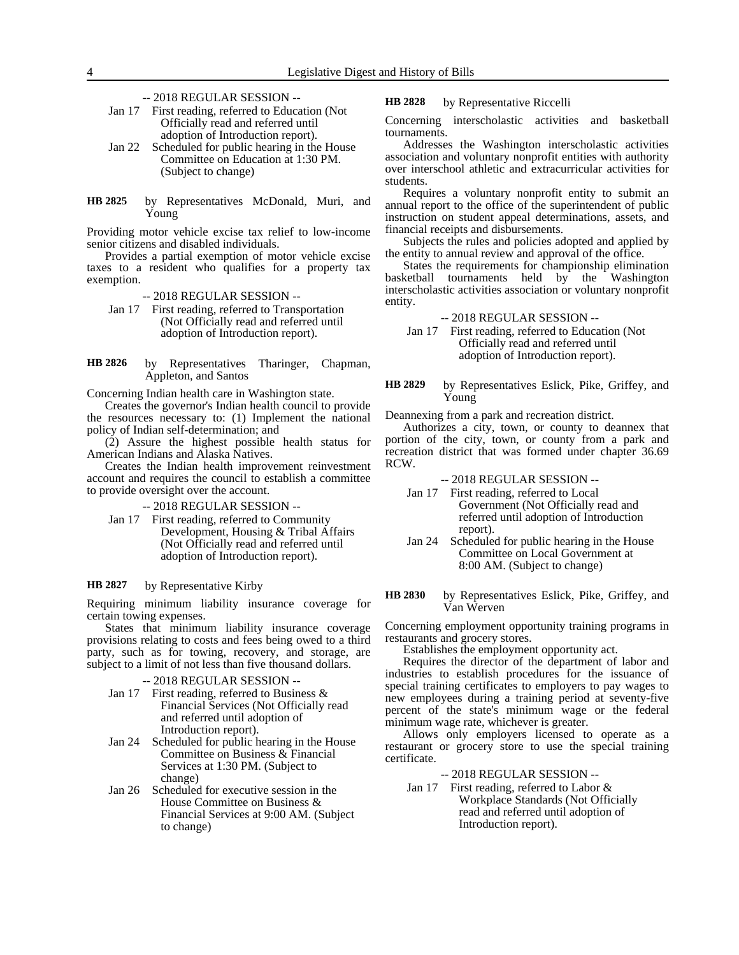-- 2018 REGULAR SESSION --

- Jan 17 First reading, referred to Education (Not Officially read and referred until adoption of Introduction report).
- Jan 22 Scheduled for public hearing in the House Committee on Education at 1:30 PM. (Subject to change)
- by Representatives McDonald, Muri, and Young **HB 2825**

Providing motor vehicle excise tax relief to low-income senior citizens and disabled individuals.

Provides a partial exemption of motor vehicle excise taxes to a resident who qualifies for a property tax exemption.

- -- 2018 REGULAR SESSION --
- Jan 17 First reading, referred to Transportation (Not Officially read and referred until adoption of Introduction report).
- by Representatives Tharinger, Chapman, Appleton, and Santos **HB 2826**

Concerning Indian health care in Washington state.

Creates the governor's Indian health council to provide the resources necessary to: (1) Implement the national policy of Indian self-determination; and

(2) Assure the highest possible health status for American Indians and Alaska Natives.

Creates the Indian health improvement reinvestment account and requires the council to establish a committee to provide oversight over the account.

-- 2018 REGULAR SESSION --

Jan 17 First reading, referred to Community Development, Housing & Tribal Affairs (Not Officially read and referred until adoption of Introduction report).

#### by Representative Kirby **HB 2827**

Requiring minimum liability insurance coverage for certain towing expenses.

States that minimum liability insurance coverage provisions relating to costs and fees being owed to a third party, such as for towing, recovery, and storage, are subject to a limit of not less than five thousand dollars.

-- 2018 REGULAR SESSION --

- Jan 17 First reading, referred to Business & Financial Services (Not Officially read and referred until adoption of Introduction report).
- Jan 24 Scheduled for public hearing in the House Committee on Business & Financial Services at 1:30 PM. (Subject to change)
- Jan 26 Scheduled for executive session in the House Committee on Business & Financial Services at 9:00 AM. (Subject to change)

by Representative Riccelli **HB 2828**

Concerning interscholastic activities and basketball tournaments.

Addresses the Washington interscholastic activities association and voluntary nonprofit entities with authority over interschool athletic and extracurricular activities for students.

Requires a voluntary nonprofit entity to submit an annual report to the office of the superintendent of public instruction on student appeal determinations, assets, and financial receipts and disbursements.

Subjects the rules and policies adopted and applied by the entity to annual review and approval of the office.

States the requirements for championship elimination basketball tournaments held by the Washington interscholastic activities association or voluntary nonprofit entity.

-- 2018 REGULAR SESSION --

Jan 17 First reading, referred to Education (Not Officially read and referred until adoption of Introduction report).

### by Representatives Eslick, Pike, Griffey, and Young **HB 2829**

Deannexing from a park and recreation district.

Authorizes a city, town, or county to deannex that portion of the city, town, or county from a park and recreation district that was formed under chapter 36.69 RCW.

-- 2018 REGULAR SESSION --

- Jan 17 First reading, referred to Local Government (Not Officially read and referred until adoption of Introduction report).
- Jan 24 Scheduled for public hearing in the House Committee on Local Government at 8:00 AM. (Subject to change)
- by Representatives Eslick, Pike, Griffey, and Van Werven **HB 2830**

Concerning employment opportunity training programs in restaurants and grocery stores.

Establishes the employment opportunity act.

Requires the director of the department of labor and industries to establish procedures for the issuance of special training certificates to employers to pay wages to new employees during a training period at seventy-five percent of the state's minimum wage or the federal minimum wage rate, whichever is greater.

Allows only employers licensed to operate as a restaurant or grocery store to use the special training certificate.

- -- 2018 REGULAR SESSION --
- Jan 17 First reading, referred to Labor & Workplace Standards (Not Officially read and referred until adoption of Introduction report).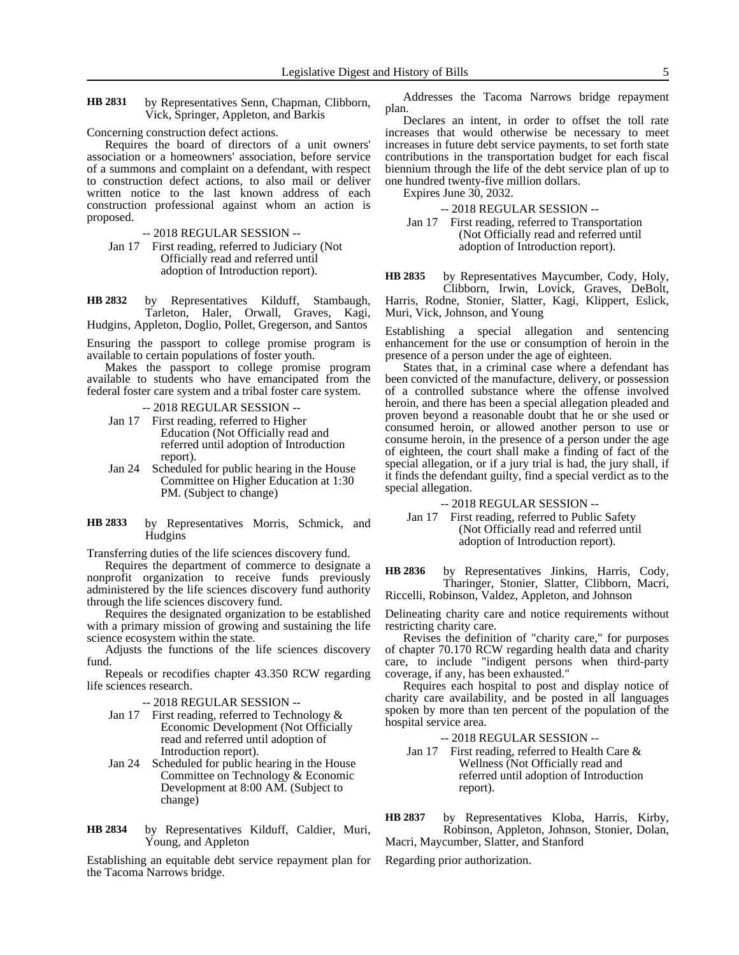by Representatives Senn, Chapman, Clibborn, Vick, Springer, Appleton, and Barkis **HB 2831**

Concerning construction defect actions.

Requires the board of directors of a unit owners' association or a homeowners' association, before service of a summons and complaint on a defendant, with respect to construction defect actions, to also mail or deliver written notice to the last known address of each construction professional against whom an action is proposed.

-- 2018 REGULAR SESSION --

Jan 17 First reading, referred to Judiciary (Not Officially read and referred until adoption of Introduction report).

by Representatives Kilduff, Stambaugh, Tarleton, Haler, Orwall, Graves, Kagi, Hudgins, Appleton, Doglio, Pollet, Gregerson, and Santos **HB 2832**

Ensuring the passport to college promise program is available to certain populations of foster youth.

Makes the passport to college promise program available to students who have emancipated from the federal foster care system and a tribal foster care system.

- -- 2018 REGULAR SESSION --
- Jan 17 First reading, referred to Higher Education (Not Officially read and referred until adoption of Introduction report).
- Jan 24 Scheduled for public hearing in the House Committee on Higher Education at 1:30 PM. (Subject to change)
- by Representatives Morris, Schmick, and **Hudgins HB 2833**

Transferring duties of the life sciences discovery fund.

Requires the department of commerce to designate a nonprofit organization to receive funds previously administered by the life sciences discovery fund authority through the life sciences discovery fund.

Requires the designated organization to be established with a primary mission of growing and sustaining the life science ecosystem within the state.

Adjusts the functions of the life sciences discovery fund.

Repeals or recodifies chapter 43.350 RCW regarding life sciences research.

-- 2018 REGULAR SESSION --

- Jan 17 First reading, referred to Technology  $&$ Economic Development (Not Officially read and referred until adoption of Introduction report).
- Jan 24 Scheduled for public hearing in the House Committee on Technology & Economic Development at 8:00 AM. (Subject to change)

by Representatives Kilduff, Caldier, Muri, Young, and Appleton **HB 2834**

Establishing an equitable debt service repayment plan for the Tacoma Narrows bridge.

Addresses the Tacoma Narrows bridge repayment plan.

Declares an intent, in order to offset the toll rate increases that would otherwise be necessary to meet increases in future debt service payments, to set forth state contributions in the transportation budget for each fiscal biennium through the life of the debt service plan of up to one hundred twenty-five million dollars.

Expires June 30, 2032.

-- 2018 REGULAR SESSION --

Jan 17 First reading, referred to Transportation (Not Officially read and referred until adoption of Introduction report).

by Representatives Maycumber, Cody, Holy, **HB 2835**

Clibborn, Irwin, Lovick, Graves, DeBolt, Harris, Rodne, Stonier, Slatter, Kagi, Klippert, Eslick, Muri, Vick, Johnson, and Young

Establishing a special allegation and sentencing enhancement for the use or consumption of heroin in the presence of a person under the age of eighteen.

States that, in a criminal case where a defendant has been convicted of the manufacture, delivery, or possession of a controlled substance where the offense involved heroin, and there has been a special allegation pleaded and proven beyond a reasonable doubt that he or she used or consumed heroin, or allowed another person to use or consume heroin, in the presence of a person under the age of eighteen, the court shall make a finding of fact of the special allegation, or if a jury trial is had, the jury shall, if it finds the defendant guilty, find a special verdict as to the special allegation.

-- 2018 REGULAR SESSION --

Jan 17 First reading, referred to Public Safety (Not Officially read and referred until adoption of Introduction report).

by Representatives Jinkins, Harris, Cody, Tharinger, Stonier, Slatter, Clibborn, Macri, Riccelli, Robinson, Valdez, Appleton, and Johnson **HB 2836**

Delineating charity care and notice requirements without restricting charity care.

Revises the definition of "charity care," for purposes of chapter 70.170 RCW regarding health data and charity care, to include "indigent persons when third-party coverage, if any, has been exhausted."

Requires each hospital to post and display notice of charity care availability, and be posted in all languages spoken by more than ten percent of the population of the hospital service area.

-- 2018 REGULAR SESSION --

Jan 17 First reading, referred to Health Care & Wellness (Not Officially read and referred until adoption of Introduction report).

by Representatives Kloba, Harris, Kirby, Robinson, Appleton, Johnson, Stonier, Dolan, Macri, Maycumber, Slatter, and Stanford **HB 2837**

Regarding prior authorization.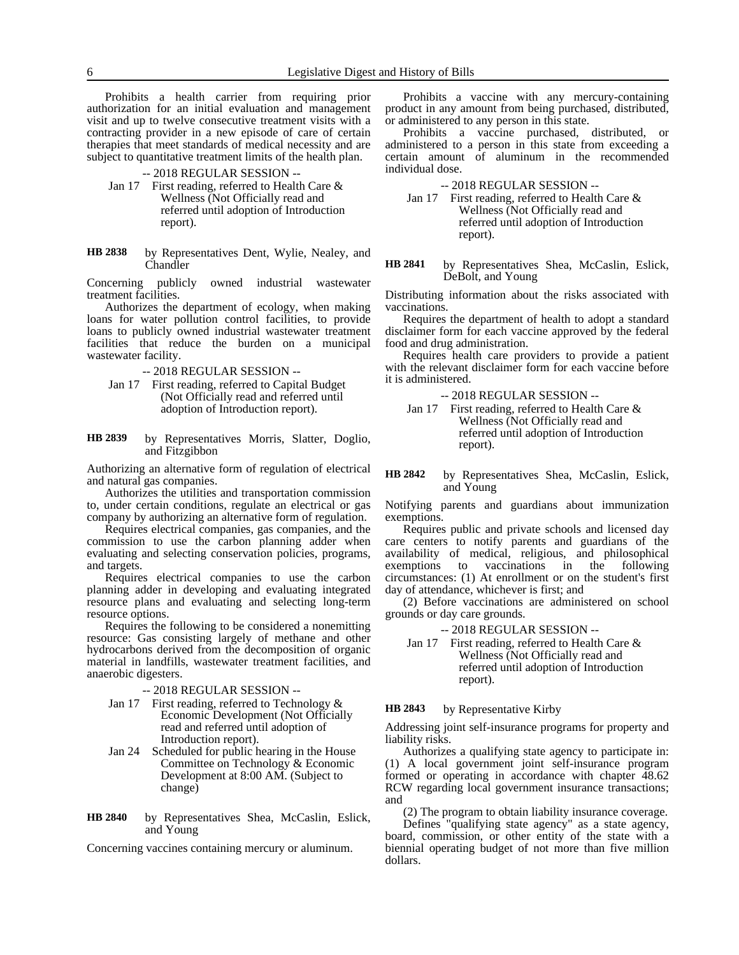Prohibits a health carrier from requiring prior authorization for an initial evaluation and management visit and up to twelve consecutive treatment visits with a contracting provider in a new episode of care of certain therapies that meet standards of medical necessity and are subject to quantitative treatment limits of the health plan.

- -- 2018 REGULAR SESSION --
- Jan 17 First reading, referred to Health Care & Wellness (Not Officially read and referred until adoption of Introduction report).
- by Representatives Dent, Wylie, Nealey, and **Chandler HB 2838**

Concerning publicly owned industrial wastewater treatment facilities.

Authorizes the department of ecology, when making loans for water pollution control facilities, to provide loans to publicly owned industrial wastewater treatment facilities that reduce the burden on a municipal wastewater facility.

- -- 2018 REGULAR SESSION --
- Jan 17 First reading, referred to Capital Budget (Not Officially read and referred until adoption of Introduction report).
- by Representatives Morris, Slatter, Doglio, and Fitzgibbon **HB 2839**

Authorizing an alternative form of regulation of electrical and natural gas companies.

Authorizes the utilities and transportation commission to, under certain conditions, regulate an electrical or gas company by authorizing an alternative form of regulation.

Requires electrical companies, gas companies, and the commission to use the carbon planning adder when evaluating and selecting conservation policies, programs, and targets.

Requires electrical companies to use the carbon planning adder in developing and evaluating integrated resource plans and evaluating and selecting long-term resource options.

Requires the following to be considered a nonemitting resource: Gas consisting largely of methane and other hydrocarbons derived from the decomposition of organic material in landfills, wastewater treatment facilities, and anaerobic digesters.

- -- 2018 REGULAR SESSION --
- Jan 17 First reading, referred to Technology & Economic Development (Not Officially read and referred until adoption of Introduction report).
- Jan 24 Scheduled for public hearing in the House Committee on Technology & Economic Development at 8:00 AM. (Subject to change)
- by Representatives Shea, McCaslin, Eslick, and Young **HB 2840**

Concerning vaccines containing mercury or aluminum.

Prohibits a vaccine with any mercury-containing product in any amount from being purchased, distributed, or administered to any person in this state.

Prohibits a vaccine purchased, distributed, or administered to a person in this state from exceeding a certain amount of aluminum in the recommended individual dose.

-- 2018 REGULAR SESSION --

Jan 17 First reading, referred to Health Care & Wellness (Not Officially read and referred until adoption of Introduction report).

by Representatives Shea, McCaslin, Eslick, DeBolt, and Young **HB 2841**

Distributing information about the risks associated with vaccinations.

Requires the department of health to adopt a standard disclaimer form for each vaccine approved by the federal food and drug administration.

Requires health care providers to provide a patient with the relevant disclaimer form for each vaccine before it is administered.

-- 2018 REGULAR SESSION --

- Jan 17 First reading, referred to Health Care & Wellness (Not Officially read and referred until adoption of Introduction report).
- by Representatives Shea, McCaslin, Eslick, and Young **HB 2842**

Notifying parents and guardians about immunization exemptions.

Requires public and private schools and licensed day care centers to notify parents and guardians of the availability of medical, religious, and philosophical exemptions to vaccinations in the following circumstances: (1) At enrollment or on the student's first day of attendance, whichever is first; and

(2) Before vaccinations are administered on school grounds or day care grounds.

- -- 2018 REGULAR SESSION --
- Jan 17 First reading, referred to Health Care & Wellness (Not Officially read and referred until adoption of Introduction report).

by Representative Kirby **HB 2843**

Addressing joint self-insurance programs for property and liability risks.

Authorizes a qualifying state agency to participate in: (1) A local government joint self-insurance program formed or operating in accordance with chapter 48.62 RCW regarding local government insurance transactions; and

(2) The program to obtain liability insurance coverage.

Defines "qualifying state agency" as a state agency, board, commission, or other entity of the state with a biennial operating budget of not more than five million dollars.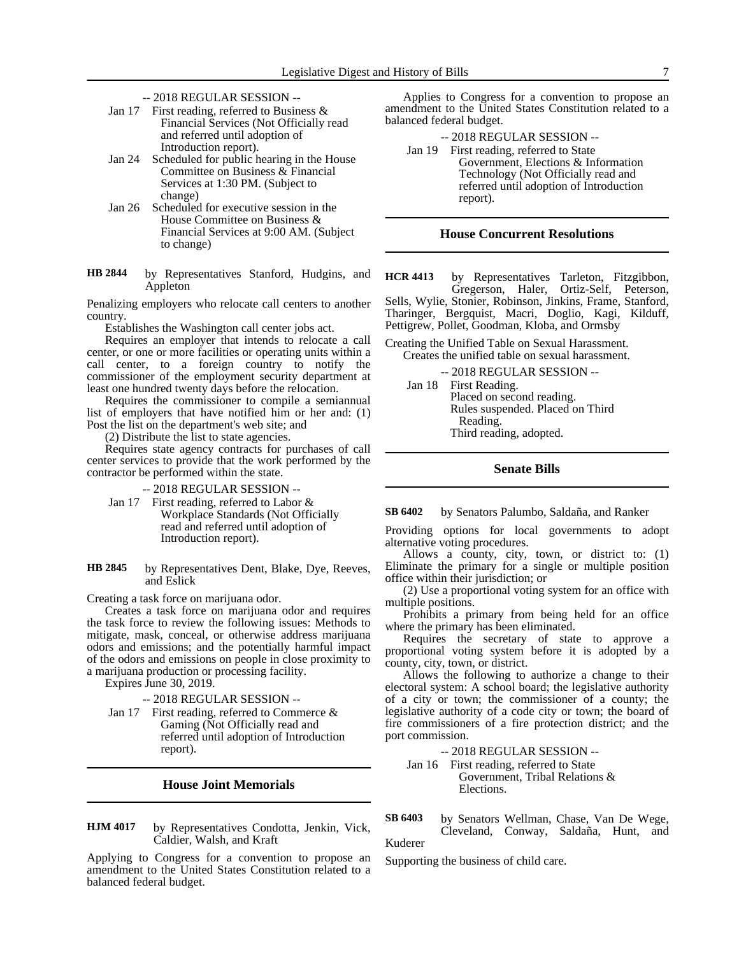- -- 2018 REGULAR SESSION --
- Jan 17 First reading, referred to Business & Financial Services (Not Officially read and referred until adoption of Introduction report).
- Jan 24 Scheduled for public hearing in the House Committee on Business & Financial Services at 1:30 PM. (Subject to change)
- Jan 26 Scheduled for executive session in the House Committee on Business & Financial Services at 9:00 AM. (Subject to change)
- by Representatives Stanford, Hudgins, and Appleton **HB 2844**

Penalizing employers who relocate call centers to another country.

Establishes the Washington call center jobs act.

Requires an employer that intends to relocate a call center, or one or more facilities or operating units within a call center, to a foreign country to notify the commissioner of the employment security department at least one hundred twenty days before the relocation.

Requires the commissioner to compile a semiannual list of employers that have notified him or her and: (1) Post the list on the department's web site; and

(2) Distribute the list to state agencies.

Requires state agency contracts for purchases of call center services to provide that the work performed by the contractor be performed within the state.

- -- 2018 REGULAR SESSION --
- Jan 17 First reading, referred to Labor & Workplace Standards (Not Officially read and referred until adoption of Introduction report).
- by Representatives Dent, Blake, Dye, Reeves, and Eslick **HB 2845**

Creating a task force on marijuana odor.

Creates a task force on marijuana odor and requires the task force to review the following issues: Methods to mitigate, mask, conceal, or otherwise address marijuana odors and emissions; and the potentially harmful impact of the odors and emissions on people in close proximity to a marijuana production or processing facility.

Expires June 30, 2019.

-- 2018 REGULAR SESSION --

Jan 17 First reading, referred to Commerce & Gaming (Not Officially read and referred until adoption of Introduction report).

## **House Joint Memorials**

by Representatives Condotta, Jenkin, Vick, Caldier, Walsh, and Kraft **HJM 4017**

Applying to Congress for a convention to propose an amendment to the United States Constitution related to a balanced federal budget.

Applies to Congress for a convention to propose an amendment to the United States Constitution related to a balanced federal budget.

-- 2018 REGULAR SESSION --

Jan 19 First reading, referred to State Government, Elections & Information Technology (Not Officially read and referred until adoption of Introduction report).

### **House Concurrent Resolutions**

by Representatives Tarleton, Fitzgibbon, Gregerson, Haler, Ortiz-Self, Peterson, Sells, Wylie, Stonier, Robinson, Jinkins, Frame, Stanford, Tharinger, Bergquist, Macri, Doglio, Kagi, Kilduff, Pettigrew, Pollet, Goodman, Kloba, and Ormsby **HCR 4413**

Creating the Unified Table on Sexual Harassment. Creates the unified table on sexual harassment.

-- 2018 REGULAR SESSION --

Jan 18 First Reading. Placed on second reading. Rules suspended. Placed on Third Reading. Third reading, adopted.

# **Senate Bills**

#### by Senators Palumbo, Saldaña, and Ranker **SB 6402**

Providing options for local governments to adopt alternative voting procedures.

Allows a county, city, town, or district to: (1) Eliminate the primary for a single or multiple position office within their jurisdiction; or

(2) Use a proportional voting system for an office with multiple positions.

Prohibits a primary from being held for an office where the primary has been eliminated.

Requires the secretary of state to approve a proportional voting system before it is adopted by a county, city, town, or district.

Allows the following to authorize a change to their electoral system: A school board; the legislative authority of a city or town; the commissioner of a county; the legislative authority of a code city or town; the board of fire commissioners of a fire protection district; and the port commission.

-- 2018 REGULAR SESSION --

Jan 16 First reading, referred to State Government, Tribal Relations & Elections.

by Senators Wellman, Chase, Van De Wege, Cleveland, Conway, Saldaña, Hunt, and Kuderer **SB 6403**

Supporting the business of child care.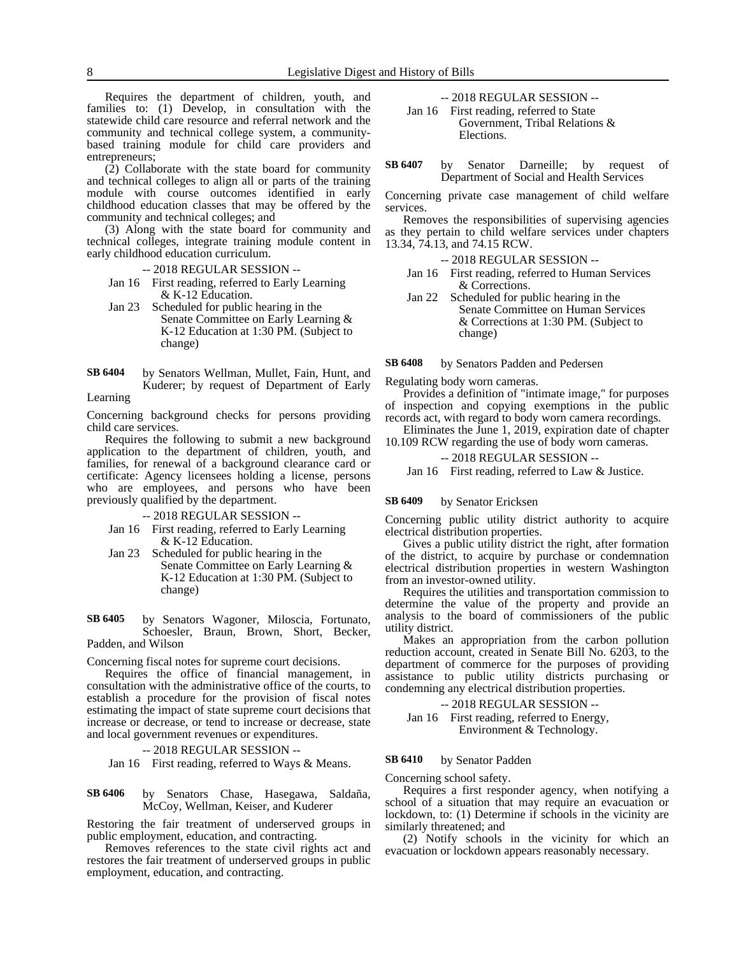Requires the department of children, youth, and families to: (1) Develop, in consultation with the statewide child care resource and referral network and the community and technical college system, a communitybased training module for child care providers and entrepreneurs;

(2) Collaborate with the state board for community and technical colleges to align all or parts of the training module with course outcomes identified in early childhood education classes that may be offered by the community and technical colleges; and

(3) Along with the state board for community and technical colleges, integrate training module content in early childhood education curriculum.

-- 2018 REGULAR SESSION --

- Jan 16 First reading, referred to Early Learning & K-12 Education.
- Jan 23 Scheduled for public hearing in the Senate Committee on Early Learning & K-12 Education at 1:30 PM. (Subject to change)
- by Senators Wellman, Mullet, Fain, Hunt, and Kuderer; by request of Department of Early **SB 6404**

Learning

Concerning background checks for persons providing child care services.

Requires the following to submit a new background application to the department of children, youth, and families, for renewal of a background clearance card or certificate: Agency licensees holding a license, persons who are employees, and persons who have been previously qualified by the department.

-- 2018 REGULAR SESSION --

- Jan 16 First reading, referred to Early Learning & K-12 Education.
- Jan 23 Scheduled for public hearing in the Senate Committee on Early Learning & K-12 Education at 1:30 PM. (Subject to change)

by Senators Wagoner, Miloscia, Fortunato, Schoesler, Braun, Brown, Short, Becker, Padden, and Wilson **SB 6405**

Concerning fiscal notes for supreme court decisions.

Requires the office of financial management, in consultation with the administrative office of the courts, to establish a procedure for the provision of fiscal notes estimating the impact of state supreme court decisions that increase or decrease, or tend to increase or decrease, state and local government revenues or expenditures.

-- 2018 REGULAR SESSION --

Jan 16 First reading, referred to Ways & Means.

by Senators Chase, Hasegawa, Saldaña, McCoy, Wellman, Keiser, and Kuderer **SB 6406**

Restoring the fair treatment of underserved groups in public employment, education, and contracting.

Removes references to the state civil rights act and restores the fair treatment of underserved groups in public employment, education, and contracting.

-- 2018 REGULAR SESSION --

Jan 16 First reading, referred to State Government, Tribal Relations & Elections.

by Senator Darneille; by request of Department of Social and Health Services **SB 6407**

Concerning private case management of child welfare services.

Removes the responsibilities of supervising agencies as they pertain to child welfare services under chapters 13.34, 74.13, and 74.15 RCW.

-- 2018 REGULAR SESSION --

- Jan 16 First reading, referred to Human Services & Corrections.
- Jan 22 Scheduled for public hearing in the Senate Committee on Human Services & Corrections at 1:30 PM. (Subject to change)

by Senators Padden and Pedersen **SB 6408**

Regulating body worn cameras.

Provides a definition of "intimate image," for purposes of inspection and copying exemptions in the public records act, with regard to body worn camera recordings.

Eliminates the June 1, 2019, expiration date of chapter 10.109 RCW regarding the use of body worn cameras.

### -- 2018 REGULAR SESSION --

Jan 16 First reading, referred to Law & Justice.

#### by Senator Ericksen **SB 6409**

Concerning public utility district authority to acquire electrical distribution properties.

Gives a public utility district the right, after formation of the district, to acquire by purchase or condemnation electrical distribution properties in western Washington from an investor-owned utility.

Requires the utilities and transportation commission to determine the value of the property and provide an analysis to the board of commissioners of the public utility district.

Makes an appropriation from the carbon pollution reduction account, created in Senate Bill No. 6203, to the department of commerce for the purposes of providing assistance to public utility districts purchasing or condemning any electrical distribution properties.

-- 2018 REGULAR SESSION -- Jan 16 First reading, referred to Energy, Environment & Technology.

#### by Senator Padden **SB 6410**

Concerning school safety.

Requires a first responder agency, when notifying a school of a situation that may require an evacuation or lockdown, to: (1) Determine if schools in the vicinity are similarly threatened; and

(2) Notify schools in the vicinity for which an evacuation or lockdown appears reasonably necessary.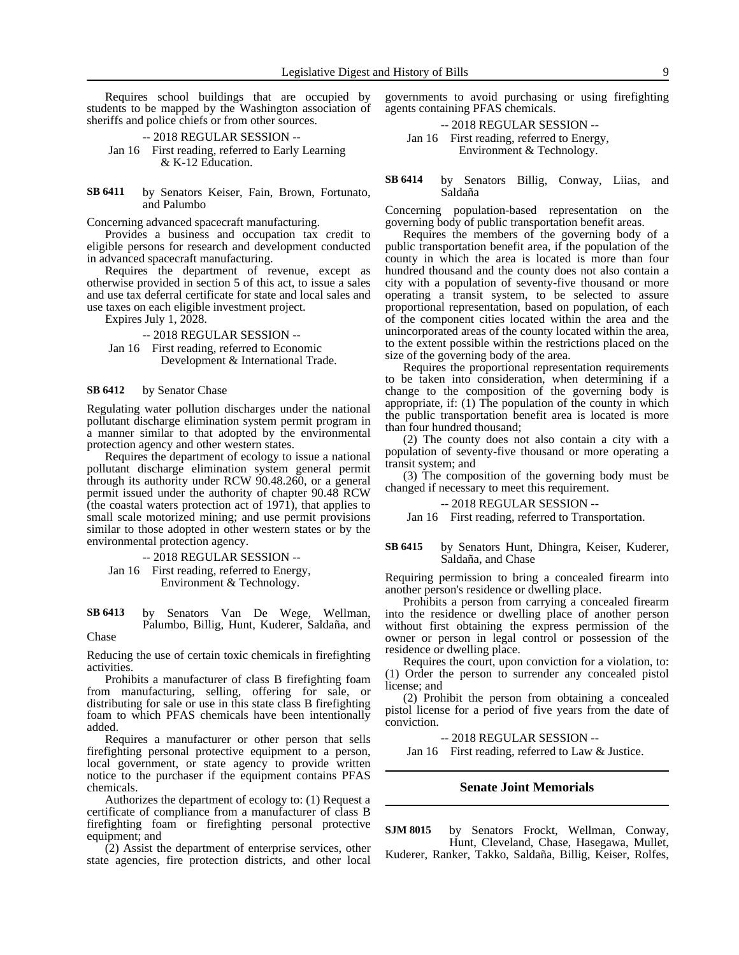Requires school buildings that are occupied by students to be mapped by the Washington association of sheriffs and police chiefs or from other sources.

-- 2018 REGULAR SESSION -- Jan 16 First reading, referred to Early Learning & K-12 Education.

by Senators Keiser, Fain, Brown, Fortunato, and Palumbo **SB 6411**

Concerning advanced spacecraft manufacturing.

Provides a business and occupation tax credit to eligible persons for research and development conducted in advanced spacecraft manufacturing.

Requires the department of revenue, except as otherwise provided in section 5 of this act, to issue a sales and use tax deferral certificate for state and local sales and use taxes on each eligible investment project.

Expires July 1,  $2028$ .

-- 2018 REGULAR SESSION --

Jan 16 First reading, referred to Economic Development & International Trade.

#### by Senator Chase **SB 6412**

Regulating water pollution discharges under the national pollutant discharge elimination system permit program in a manner similar to that adopted by the environmental protection agency and other western states.

Requires the department of ecology to issue a national pollutant discharge elimination system general permit through its authority under RCW 90.48.260, or a general permit issued under the authority of chapter 90.48 RCW (the coastal waters protection act of 1971), that applies to small scale motorized mining; and use permit provisions similar to those adopted in other western states or by the environmental protection agency.

-- 2018 REGULAR SESSION --

Jan 16 First reading, referred to Energy, Environment & Technology.

by Senators Van De Wege, Wellman, Palumbo, Billig, Hunt, Kuderer, Saldaña, and Chase **SB 6413**

Reducing the use of certain toxic chemicals in firefighting activities.

Prohibits a manufacturer of class B firefighting foam from manufacturing, selling, offering for sale, or distributing for sale or use in this state class B firefighting foam to which PFAS chemicals have been intentionally added.

Requires a manufacturer or other person that sells firefighting personal protective equipment to a person, local government, or state agency to provide written notice to the purchaser if the equipment contains PFAS chemicals.

Authorizes the department of ecology to: (1) Request a certificate of compliance from a manufacturer of class B firefighting foam or firefighting personal protective equipment; and

(2) Assist the department of enterprise services, other state agencies, fire protection districts, and other local

governments to avoid purchasing or using firefighting agents containing PFAS chemicals.

-- 2018 REGULAR SESSION --

Jan 16 First reading, referred to Energy, Environment & Technology.

by Senators Billig, Conway, Liias, and Saldaña **SB 6414**

Concerning population-based representation on the governing body of public transportation benefit areas.

Requires the members of the governing body of a public transportation benefit area, if the population of the county in which the area is located is more than four hundred thousand and the county does not also contain a city with a population of seventy-five thousand or more operating a transit system, to be selected to assure proportional representation, based on population, of each of the component cities located within the area and the unincorporated areas of the county located within the area, to the extent possible within the restrictions placed on the size of the governing body of the area.

Requires the proportional representation requirements to be taken into consideration, when determining if a change to the composition of the governing body is appropriate, if: (1) The population of the county in which the public transportation benefit area is located is more than four hundred thousand;

(2) The county does not also contain a city with a population of seventy-five thousand or more operating a transit system; and

(3) The composition of the governing body must be changed if necessary to meet this requirement.

### -- 2018 REGULAR SESSION --

Jan 16 First reading, referred to Transportation.

### by Senators Hunt, Dhingra, Keiser, Kuderer, Saldaña, and Chase **SB 6415**

Requiring permission to bring a concealed firearm into another person's residence or dwelling place.

Prohibits a person from carrying a concealed firearm into the residence or dwelling place of another person without first obtaining the express permission of the owner or person in legal control or possession of the residence or dwelling place.

Requires the court, upon conviction for a violation, to: (1) Order the person to surrender any concealed pistol license; and

(2) Prohibit the person from obtaining a concealed pistol license for a period of five years from the date of conviction.

-- 2018 REGULAR SESSION --

Jan 16 First reading, referred to Law & Justice.

### **Senate Joint Memorials**

by Senators Frockt, Wellman, Conway, Hunt, Cleveland, Chase, Hasegawa, Mullet, Kuderer, Ranker, Takko, Saldaña, Billig, Keiser, Rolfes, **SJM 8015**